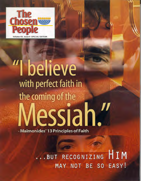

### I believe with perfect faith in the coming of the **Messiah."**  - Maimonides' 13 Principles of Faith

HIM RECOGNIZING **BUT** EASY! MAY NOT BE SO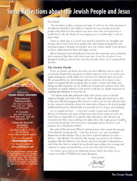## **Some Reflections about the Jewish People and Jesus**

AL EDITION ume **XII**, Issue 9

Published by **CHOSEN PEOPLE MINISTRIES** 

> International **Headquarters** 241 East 51st Street New York, NY 10022 212-223-2252

In Canada Box 897 Station B North York, ON M2K 2R1 416-250-0177

Celebrate Messiah (Australia) PO Box 304 Caulfield South Vic 3162 03-9563-5544 www celebratemessiah com au

> Visit us on the web at. **chosenpeople.com**

Our Spanish website is www.puebloelegido.com

The *Chosen People* newsletteris publishedmonthly by Chosen PeopleMinistries.For more information, or to receive *The Chosen* People newsletter, write to Chosen People Ministries. Editors Zhava Glaser, Andrew Sparks; Staff Writer Alan Shore; Design: Lois Goble. Stock photography is used throughout this magazine and is meant to be representative only.

PRINTED IN THE USA

**Dear friend,** 

**This newsletter tackles a controversial topic: if and how the claim that Jesus is the Messiah foretold by the Hebrew Scriptures has any bearing on Jewish people today. However this material may have come into your possession, I would like to take the liberty of encouraging you to read through it with an open mind.** 

**I have to admit** that, as **a Jewish man myself; I remember my thoughts and feelings when I first heard about people who talked about being Jewish and believing in Jesus. I thought such people were out of their minds. I was shocked by them, embarrassed for them and angry at them.** 

**But as I listened, read, and reflected, I became first cautiously open and finally truly convinced that these wild claims were true. It was the last place I ever thought I would go, and over the past three decades, I have never regretted that decision.** 

### **The Hardest Hurdle**

**If you are Jewish, you know that there are many different ways to relate to your Jewish identity.You can ignore it, which some try to do, or it can be your single, defining fact of life. Most of us, however, live between these two poles. We are grateful for our rich heritage and are conscious of its claims to one degree or another. We also recognize that we share a world with others and, being naturally inquisitive, we are intellectual and spiritual explorers there. But somehow, we remain tethered to the Jewish world and are deeply suspicious of anything that threatens to sever that tie.** 

**The articles inside this publication deal with various aspects of Jewish religious thought and history.They are, I think, thought-provoking pieces that I hope you will find engaging. But I know as well as you do that until the knot in your stomach unclenches about the relationship of Jesus to the Jewish people, intellectual discussion will probably not persuade you to change your thinking.** 

**It is a complicated knot —a knot that consists of pain, and an intuitive distrust of Christians and many of their ways. And at the center of it all is the belief that it is impossible to accept the claim that Jesus is the Messiah and remain Jewish. More than anything, let's admit, this is the single greatest hurdle\ even for Jewish people who never go to synagogue and for all intents and purposes have left Judaism behind.** 

**But what if this isn't true? What if a Jewish person who accepts the message of the Messiah remains Jewish — and even discovers new and meaningful dimensions to that identity? This is our claim, as Jewish believers in Jesus — Yeshua — the Messiah. He is Jewish. His message was rooted in the Hebrew Scriptures. His first followers were Jewish and never thought of themselves as other than that. And we today, if we are Jewish, may embrace this message and continue to express our Jewish lives as we serve the Lord of Creation.** 

**So I invite you to peruse the following articles. And I also invite you to contact us at 888-2-YESHUA for more discussion.** 

Your brother,

**Mitch** Glaser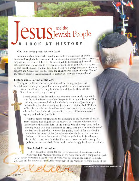# Jesush People and the **A LOOK AT HISTORY**

**Why don't Jewish people believe in** Jesus?

From the earliest days of what was known as the Nazarene sect of Jewish believers through the later centuries of Christianity, the majority of Jewish people **have denied the claims of the New Testament. While theological and cultural differences have contributed to a hardening of positions on both sides, it may also be said that the forces of history have helped to drive a wedge between mainstream**  Judaism and Christianity that has made the distance even harder to bridge. One of **the saddest things is that it happened so quickly. But how did it come about?** 

### **History and a Parting of the Ways**

**The apparent distance between Judaism and the message of Jesus the Messiah was not always so great. It can be argued that at first there was no** 

**distance at all, since the early believers were all Jewish. How did this Grand Canyon-sized abyss develop?** 

**Several events in the first and second centuries were largely responsible. The first is the destruction of the Temple in** 70 **cE by the Romans. This calamity not only resulted in the wholesale slaughter of Jewish people in Jerusalem, but also reconfigured Judaism as a religious faith. Without the Temple, the offering of sacrifices would no longer play a meaningful**  role so the Great Sanhedrin gathered in the town of Yavneh to mourn, **regroup and redefine Jewish life.** 

**Another factor contributed to the distancing of the followers of Yeshua from Judaism. The original Jewish believers in Jerusalem who provided leadership to the earliest form of the church were also swept away in the ensuing Jewish wars that culminated in 135 CE with the disastrous failure of the Bar Kokhba rebellion. Without the guiding hand of this early Jewish leadership, the spread of the Gospel to the Gentiles led to the conscious decision to distance the emerging Christian faith from its Jewish roots. It also led to the rise of anti-Semitism and a deeply-seated contempt for Judaism among so-called Christians that raises its ugly head even to this day.** 

### **First Failed Expectations**

**There is another reason for the Jewish rejection of the message of the Nazarenes. The Messianic message of the New Testament is composed, in part, of the Jewish expectation that the end of world was just around the corner. Ironically, although this has not yet occurred, this component of the Messiah's teaching is one of the** 

tt, Photographer: Tatiana Sayig Agency: Dreamstime.com

 $-$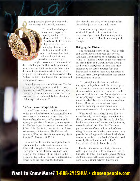**most persuasive pieces of evidence that His message is historically authentic.** 

> **The world in which Jesus moved was charged with apocalyptic hope. The discovery of the Dead Sea Scrolls has shed enormous light on the intense interplay of history and faith in the world at this time. The fervent few waited m devout hope that they would be vindicated by a**

**mighty warrior who would cast out the wicked oppressor. But that hope did not materialize, and from that time forward, one of the most frequent reasons set forth by Jewish people to reject the claims of Jesus has been His "failure" to deliver the longed-for Kingdom and accompanying peace.** 

**Now there are two possibilities here. The first is that many Jewish people are right to reject Jesus on this basis.The second is that they are wrong, and there are more pieces on the board that need to be considered. Perhaps the timing of this expectation was off.** 

### **An Alternative Interpretation**

**Saul of Tarsus, writing to a fellowship of Jewish and other believers in Rome, tackled this very question. He wrote to them,** *"For I do not desire, brethren, that you should be ignorant of this mystery, lest you should be wise in your own opinion, that blindness in part has happened to Israel until the fullness of the Gentiles has come in. And so all Israel*  will be saved, as it is written: 'The Deliverer will *come out of Zion, and He will turn away ungodliness from Jacob'* **(Romans 11:25-26).** 

**In other words, even the widespread Jewish rejection of Jesus as Messiah, because of the delay of the Kingdom's fullness, was a part of God's plan. For the Hebrew Scriptures speak plainly of the inclusion of the nations in the blessing of Israel. If this alternative interpretation proves to be the case, then the historical** 

**objection that the delay of the Kingdom has disqualified Jesus just won't hold water.** 

**If this is so, then perhaps it might be worthwhile to take a fresh look at other traditional objections to Jesus.You might find that there is more to Him than you originally thought.** 

#### **Bridging the Distance**

**The relationship between the Jewish people and Christianity has not been an easy one. Although Christianity is often depicted as the "child" of Judaism, it might be more accurate to say that Judaism and Christianity are siblings. As they exist today, both of them owe their existence to the earlier Israelite faith that birthed and nourished them. And for better or worse, as many sibling rivals realize, they cannot live without each other.** 

**The principles of the Israelite faith that undergird both Judaism and Christianity speak to the essential condition of humanity. We are all wounded creatures in a broken creation.The prophet Isaiah laments that** *"all our righteousnesses are like filthy rags"* (Isaiah 64:6). We are unable to mend ourselves. Israelite faith, embodied in the **Hebrew Bible, teaches us to look beyond ourselves with hopeful expectation for a promised deliverance—by a promised Messiah.** 

**What would such a Messiah look like? He would be holy, just and mighty enough to be able to overcome evil. But He would also first be the embodiment of compassion, forgiveness, servanthood and love. The New Testament portrays Yeshua of Nazareth as both of these things. It asserts that He first came among us to provide the willing sacrifice through which we can be reconciled to the Lord of Creation. And secondly, He will return so that all of humankind will finally be made whole.** 

**Finally, it should be clear that Jesus never called upon Jewish people to become Gentiles, but rather to follow Him as the Jewish Messiah.**  And quite frankly, the most important gap we **have to close is not between Judaism and** 

## Want to Know More? 1-888-2YESHUA · chosenpeople.com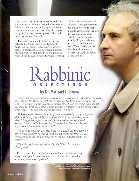Chr-lianity—but between ourselves and God. It is our sin, our failure to keep the Torah—our failure to oftentimes even live up to our own standards of morality and goodness, that causes this gap. How then do we approach God and draw close to our Creator?

The answer is found by bridging the gap between the Older and Newer Testaments. When we put these two together we discover that God bridged the gap by sending His Son, the fulfillment of prophecy, to be the promised Messiah and to bear our sins. Through accepting Yeshua we are forgiven and cleansed—brought nearer to God than we ever thought possible.Yeshua closes that gap between man and God whether you are Jewish or Gentile. Why not take time to read the Scriptures and see if Yeshua really is who He claimed to be—the Messiah of Israel and Savior of the world?  $\Phi$ 

# **Rabbinic BJECTIO by Dr. Michael L. Brown**

*Whether you are a religious Jewish person or not, it is clear that all modern forms of Judaism, from Orthodox to Reform, are based upon the idea that two Torahs were given on Mount Sinai* — one written and the other oral. Eventually, the oral Torah was written down, codified, *commented upon and passed along to future generations of Jewish people and became known as the Talmud —the judgments and interpretations of our Sages.* 

*All Jewish people today— whether religious or not—generally participate in Jewish*  religious life by engaging both biblical truth and the traditions passed along by our *rabbis. It is impossible to practice normative Judaism without relating to Jewish tradition. But we should ask the question, "Does Jewish tradition carry the same weight and religious* authority *as the Bible?"* 

*This might be something that many of our Jewish people take for granted, but have you ever considered the implications of this way of thinking about God and our relationship to Him as Jews? What do you think about Jewish tradition and Scripture?* 

This is the significant subject addressed by Dr. Michael Brown in the *following article.* 

If you are an observant Jew, then the rabbinic traditions are very important to you. After all, without the traditions, there would be no such thing as traditional Judaism!

Photographer:Galina ltarskaya Agency: Dreamstime.com The model in this image is neither affiliated with Chosen People Ministries nor mentioned in this newsletter.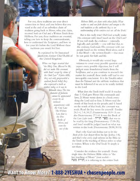**For you, these traditions are your direct connection to Sinai, and you believe that you stand at the end of an unbroken chain of tradition going back to Moses, who, you claim,**  *received* **both an Oral and a Written Torah from HaShem. For you, these traditions are essential, telling you how to keep the commandments, how to understand the Scriptures, and how to live your life before the Lord. Without these traditions you would feel lost.** 

> **As explained by Dr. Immanuel Jakobovitz, former Chief Rabbi of the United Kingdom:**

> > *When our Sages asserted that "the Holy One, Blessed be He, did not make His covenant with Israel except by virtue of the Oral Law" (Gittin 60b), they not only propounded a cardinal Jewish belief, they also expressed a truth as evident today as it was in Talmudic times. The true character of Judaism cannot be appreciated except by an intimate acquaintance with the Oral Law. The Written Law, that is, the Five Books of Moses, and even the rest of the*

*Hebrew Bible, we share with other faiths. What makes us and our faith distinct and unique is the oral tradition as the authentic key to an understanding of the written text we call the Torah.'* 

**But is this really true? Did God actually make His covenant with Israel based on the Oral Law? If you will study the evidence —rationally, logically, and carefully — you will find that, to the contrary, God made His covenant with our people based on the written Word alone, and it is that Word — the written** *Tanakh — that* **must be our guide for faith and life.** 

**Obviously, it would take several large volumes to** *cover every* **possible question and answer every possible objection, but I will prent some foundational truths from the Scriptures, and as you continue to research the matter for yourself; these truths will lead to one inescapable conclusion: It is the Tanakh rather than the Talmud and the rabbinic traditions that must be followed if we are to be totally faithful to the Lord.** 

**What does the Torah itself teach? It teaches that: 1) God gave Moses His commands and laws; 2) Moses wrote down in a book everything the Lord said to him; 3) Moses read the words of that book to the people;** *and* **4) based on the words of that book, the covenant was**  made. Read the key verses for yourself: Exodus **24:3-4, 7-8; 34:27; Deuteronomy 31:9-13; see also Deuteronomy 27:1-8. It was this Book of the Law** *(sefer torah -* **111P1 1D17) that was to be read by the king (Deuteronomy 17:18-20), and Israel would be judged based on what was written in this book (Deuteronomy 28:58; 30:10).** 

**That's why God told Joshua not to let the**  *Book of the Law* **depart from his lips (Joshua 1:8), and that's why** *every single reference in* **the Bible to the Torah or the teaching of Moses refers to what is written. Where is the Oral Torah? It simply is not there.** 

Consider the evidence for yourself: Every **single time the Hebrew Bible refers to "the law/teaching of Moses"** *(torat mosheh - MD* **nmn) it is referring to the** *written Torah* 

## Want to Know More? 1-888-2YESHUA · chosenpeople.com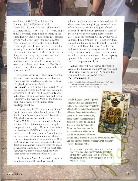**(see Joshua 8:31-32; 23:6; 1 Kings 2:3; 2 Kings 14:6; 23:25; Malachi 3:22; Daniel 9:11, 13; Ezra 3:2; 7:6; Nehemiah 8:1; 2 Chronicles 23:18; 30:16; 34:14)—every single time! Conversely, there is not one time in the entire Hebrew Bible where someone is rebuked or punished for breaking "the law of Moses" when it does not refer to the written Torah. Not a single time! If someone was indicted for breaking "the Torah of Moses," or if reference was made to "the Torah of Moses," it meant one thing and one thing only: the written Torah. And it was that written Torah that our forefathers were called to keep. Why then do some put such an emphasis on the Oral Torah, claiming that without it, one cannot understand what is written?** 

**The phrase** *sdir torah* **mann ma, "Book of the Law," occurs twenty times in the Tanakh, while there are no references whatsoever to an**  Oral Torah (torah she-be'al peh -

**"IMO mini) in the entire Tanakh. As for the supposed hints to the Oral Torah within the Scriptures, all of them can be easily explained. What then will you follow: the sure and certain testimony of the written Word, or the traditions of men, no matter how beautiful those traditioys might be?** 

In many cases, the Talmudic interpretation of **the Scriptures contradicts the plain sense of the Torah. For a famous example, see B. Bava Metzia 59b, which changes the meaning of the end of Exodus 23:2. If you are a student of the Talmud, you know that this is common, even in legal interpretations; see, e.g., B. Berachot 2 a-b, where the word** *vetaher (VIVI)* **in Leviticus 22:7 is misinterpreted. In other cases, the Talmud makes the Torah laws void, as seen in the well-known rabbinic interpretation of Deuteronomy 21:18-21 in B. Sanhedrin 71a, where it is taught that the Torah commandment was never observed and, in fact, never meant to be observed. On what basis, then, will you follow human traditions when those traditions overrule the Word of God?** 

**The Rambam, Moses Maimonides, taught in his introduction to the Mishnah that the** 

<sup>t</sup>r; -'41401iiiiLaftimilawirida01;\*114094040.04editit tb'el, *•A•-ttgatomie.* .v:"\_1\*-0't • :4""adamitdasikommir.. <sup>0</sup>

**rabbinic traditions were to be followed even if they contradicted the plain, grammatical sense of the Torah and even if a prophet of God confirmed that the plain, grammatical sense of the Torah was correct (using Deuteronomy 25:11-12 as his example). So, the written Word, confirmed by a prophet, has less authority than the rabbinic traditions! Add to this the Talmudic teaching in B. Bava Metzia 59b (cited above, and based on a wrong interpretation of Exodus 23:2) that states that even divine miracles and a voice from heaven cannot overrule the majority opinion of the rabbis, and you realize just how extreme this position really is.** 

**Which, then, will you follow? The written Word or the traditions of men? When you stand before God, what will you say? A word to the wise i§ sufficient** *(vehamaskil yavin*  **51D01311).** 

**1. Foreword to H. Chaim Schimmel,** *The Owl Lasv:A Study of the Rabbinic Contribution to Torah She-be-al-Peh* **(2nd, rev. ed.; Jerusalem/NewYork: Feldheim, 1996), n.p.** 

Messianic Jews—Jewish people who believe that Jesus is the Messiah of Israel believe in the priority and greater authority of the Tanakh (the entire Hebrew Bible) *and*  affirm that the case for Yeshua being the Jewish Messiah is well documented by Moses, the Prophets and the Writers of the Bible. If you follow the Bible, it will lead you to believe that Yeshua is the Messiah, but if you remain under the authority of Jewish tradition then you probably will not. So, what will become



V": 57:77-

the basis for your decision to accept or reject Yeshua? Will you make your most significant life choices based upon Jewish tradition or Scripture? The Psalmist writes,

Do not put your trust in princes, nor in a son of man, in whom there is no help. His spirit departs, he returns to his earth; in that very day his plans perish. Happy is he who has the God of Jacob for his help, whose hope is in the Loro his God (Psalm 146:3-5).